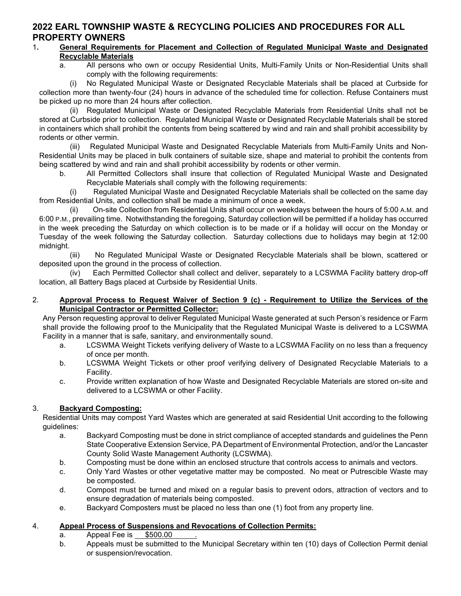# 2022 EARL TOWNSHIP WASTE & RECYCLING POLICIES AND PROCEDURES FOR ALL PROPERTY OWNERS

### 1. General Requirements for Placement and Collection of Regulated Municipal Waste and Designated Recyclable Materials

 a. All persons who own or occupy Residential Units, Multi-Family Units or Non-Residential Units shall comply with the following requirements:

 (i) No Regulated Municipal Waste or Designated Recyclable Materials shall be placed at Curbside for collection more than twenty-four (24) hours in advance of the scheduled time for collection. Refuse Containers must be picked up no more than 24 hours after collection.

 (ii) Regulated Municipal Waste or Designated Recyclable Materials from Residential Units shall not be stored at Curbside prior to collection. Regulated Municipal Waste or Designated Recyclable Materials shall be stored in containers which shall prohibit the contents from being scattered by wind and rain and shall prohibit accessibility by rodents or other vermin.

 (iii) Regulated Municipal Waste and Designated Recyclable Materials from Multi-Family Units and Non-Residential Units may be placed in bulk containers of suitable size, shape and material to prohibit the contents from being scattered by wind and rain and shall prohibit accessibility by rodents or other vermin.

 b. All Permitted Collectors shall insure that collection of Regulated Municipal Waste and Designated Recyclable Materials shall comply with the following requirements:

 (i) Regulated Municipal Waste and Designated Recyclable Materials shall be collected on the same day from Residential Units, and collection shall be made a minimum of once a week.

 (ii) On-site Collection from Residential Units shall occur on weekdays between the hours of 5:00 A.M. and 6:00 P.M., prevailing time. Notwithstanding the foregoing, Saturday collection will be permitted if a holiday has occurred in the week preceding the Saturday on which collection is to be made or if a holiday will occur on the Monday or Tuesday of the week following the Saturday collection. Saturday collections due to holidays may begin at 12:00 midnight.

 (iii) No Regulated Municipal Waste or Designated Recyclable Materials shall be blown, scattered or deposited upon the ground in the process of collection.

 (iv) Each Permitted Collector shall collect and deliver, separately to a LCSWMA Facility battery drop-off location, all Battery Bags placed at Curbside by Residential Units.

### 2. Approval Process to Request Waiver of Section 9 (c) - Requirement to Utilize the Services of the Municipal Contractor or Permitted Collector:

Any Person requesting approval to deliver Regulated Municipal Waste generated at such Person's residence or Farm shall provide the following proof to the Municipality that the Regulated Municipal Waste is delivered to a LCSWMA Facility in a manner that is safe, sanitary, and environmentally sound.

- a. LCSWMA Weight Tickets verifying delivery of Waste to a LCSWMA Facility on no less than a frequency of once per month.
- b. LCSWMA Weight Tickets or other proof verifying delivery of Designated Recyclable Materials to a Facility.
- c. Provide written explanation of how Waste and Designated Recyclable Materials are stored on-site and delivered to a LCSWMA or other Facility.

## 3. Backyard Composting:

Residential Units may compost Yard Wastes which are generated at said Residential Unit according to the following guidelines:

- a. Backyard Composting must be done in strict compliance of accepted standards and guidelines the Penn State Cooperative Extension Service, PA Department of Environmental Protection, and/or the Lancaster County Solid Waste Management Authority (LCSWMA).
- b. Composting must be done within an enclosed structure that controls access to animals and vectors.
- c. Only Yard Wastes or other vegetative matter may be composted. No meat or Putrescible Waste may be composted.
- d. Compost must be turned and mixed on a regular basis to prevent odors, attraction of vectors and to ensure degradation of materials being composted.
- e. Backyard Composters must be placed no less than one (1) foot from any property line.

## 4. Appeal Process of Suspensions and Revocations of Collection Permits:

- a. Appeal Fee is \$500.00
- b. Appeals must be submitted to the Municipal Secretary within ten (10) days of Collection Permit denial or suspension/revocation.